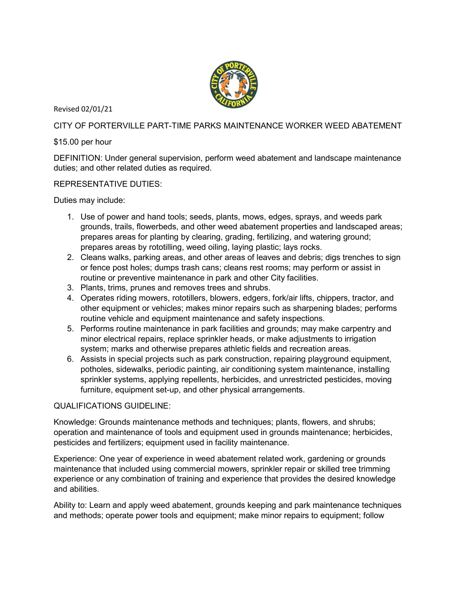

Revised 02/01/21

CITY OF PORTERVILLE PART-TIME PARKS MAINTENANCE WORKER WEED ABATEMENT

## \$15.00 per hour

DEFINITION: Under general supervision, perform weed abatement and landscape maintenance duties; and other related duties as required.

REPRESENTATIVE DUTIES:

Duties may include:

- 1. Use of power and hand tools; seeds, plants, mows, edges, sprays, and weeds park grounds, trails, flowerbeds, and other weed abatement properties and landscaped areas; prepares areas for planting by clearing, grading, fertilizing, and watering ground; prepares areas by rototilling, weed oiling, laying plastic; lays rocks.
- 2. Cleans walks, parking areas, and other areas of leaves and debris; digs trenches to sign or fence post holes; dumps trash cans; cleans rest rooms; may perform or assist in routine or preventive maintenance in park and other City facilities.
- 3. Plants, trims, prunes and removes trees and shrubs.
- 4. Operates riding mowers, rototillers, blowers, edgers, fork/air lifts, chippers, tractor, and other equipment or vehicles; makes minor repairs such as sharpening blades; performs routine vehicle and equipment maintenance and safety inspections.
- 5. Performs routine maintenance in park facilities and grounds; may make carpentry and minor electrical repairs, replace sprinkler heads, or make adjustments to irrigation system; marks and otherwise prepares athletic fields and recreation areas.
- 6. Assists in special projects such as park construction, repairing playground equipment, potholes, sidewalks, periodic painting, air conditioning system maintenance, installing sprinkler systems, applying repellents, herbicides, and unrestricted pesticides, moving furniture, equipment set-up, and other physical arrangements.

## QUALIFICATIONS GUIDELINE:

Knowledge: Grounds maintenance methods and techniques; plants, flowers, and shrubs; operation and maintenance of tools and equipment used in grounds maintenance; herbicides, pesticides and fertilizers; equipment used in facility maintenance.

Experience: One year of experience in weed abatement related work, gardening or grounds maintenance that included using commercial mowers, sprinkler repair or skilled tree trimming experience or any combination of training and experience that provides the desired knowledge and abilities.

Ability to: Learn and apply weed abatement, grounds keeping and park maintenance techniques and methods; operate power tools and equipment; make minor repairs to equipment; follow